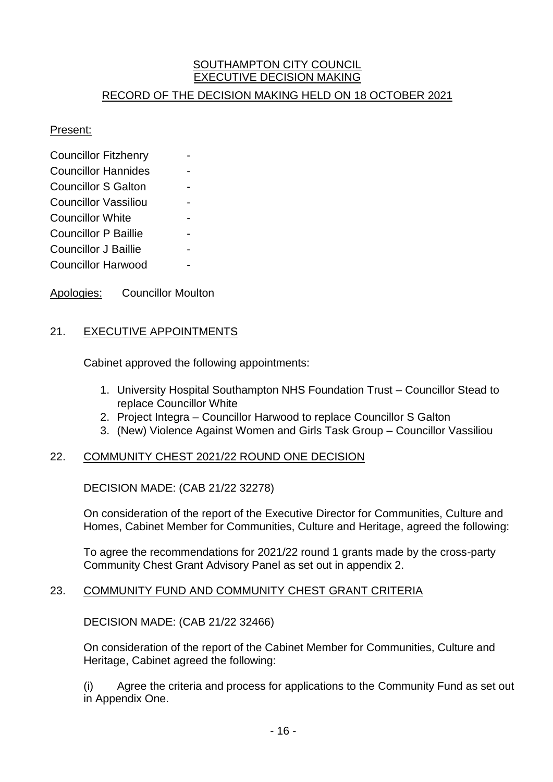## SOUTHAMPTON CITY COUNCIL EXECUTIVE DECISION MAKING

# RECORD OF THE DECISION MAKING HELD ON 18 OCTOBER 2021

#### Present:

| <b>Councillor Fitzhenry</b> |  |
|-----------------------------|--|
| <b>Councillor Hannides</b>  |  |
| <b>Councillor S Galton</b>  |  |
| <b>Councillor Vassiliou</b> |  |
| <b>Councillor White</b>     |  |
| <b>Councillor P Baillie</b> |  |
| <b>Councillor J Baillie</b> |  |
| <b>Councillor Harwood</b>   |  |
|                             |  |

Apologies: Councillor Moulton

### 21. EXECUTIVE APPOINTMENTS

Cabinet approved the following appointments:

- 1. University Hospital Southampton NHS Foundation Trust Councillor Stead to replace Councillor White
- 2. Project Integra Councillor Harwood to replace Councillor S Galton
- 3. (New) Violence Against Women and Girls Task Group Councillor Vassiliou

## 22. COMMUNITY CHEST 2021/22 ROUND ONE DECISION

DECISION MADE: (CAB 21/22 32278)

On consideration of the report of the Executive Director for Communities, Culture and Homes, Cabinet Member for Communities, Culture and Heritage, agreed the following:

To agree the recommendations for 2021/22 round 1 grants made by the cross-party Community Chest Grant Advisory Panel as set out in appendix 2.

#### 23. COMMUNITY FUND AND COMMUNITY CHEST GRANT CRITERIA

DECISION MADE: (CAB 21/22 32466)

On consideration of the report of the Cabinet Member for Communities, Culture and Heritage, Cabinet agreed the following:

(i) Agree the criteria and process for applications to the Community Fund as set out in Appendix One.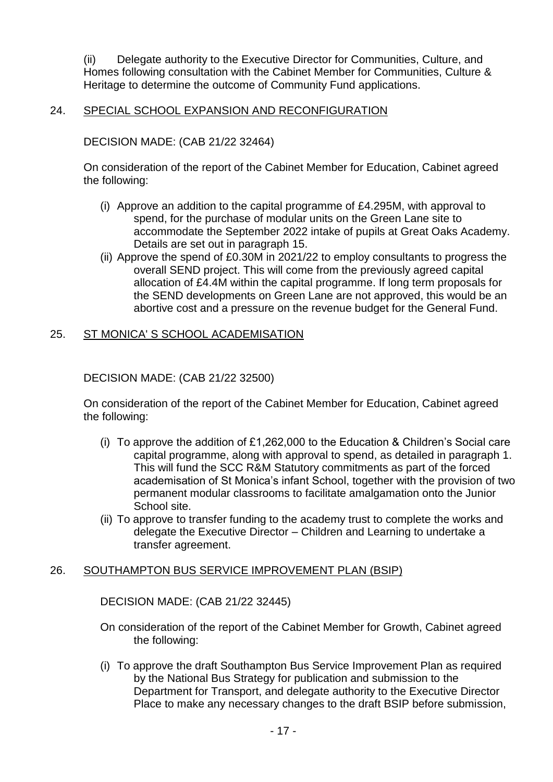(ii) Delegate authority to the Executive Director for Communities, Culture, and Homes following consultation with the Cabinet Member for Communities, Culture & Heritage to determine the outcome of Community Fund applications.

### 24. SPECIAL SCHOOL EXPANSION AND RECONFIGURATION

DECISION MADE: (CAB 21/22 32464)

On consideration of the report of the Cabinet Member for Education, Cabinet agreed the following:

- (i) Approve an addition to the capital programme of £4.295M, with approval to spend, for the purchase of modular units on the Green Lane site to accommodate the September 2022 intake of pupils at Great Oaks Academy. Details are set out in paragraph 15.
- (ii) Approve the spend of £0.30M in 2021/22 to employ consultants to progress the overall SEND project. This will come from the previously agreed capital allocation of £4.4M within the capital programme. If long term proposals for the SEND developments on Green Lane are not approved, this would be an abortive cost and a pressure on the revenue budget for the General Fund.

## 25. ST MONICA' S SCHOOL ACADEMISATION

DECISION MADE: (CAB 21/22 32500)

On consideration of the report of the Cabinet Member for Education, Cabinet agreed the following:

- (i) To approve the addition of £1,262,000 to the Education & Children's Social care capital programme, along with approval to spend, as detailed in paragraph 1. This will fund the SCC R&M Statutory commitments as part of the forced academisation of St Monica's infant School, together with the provision of two permanent modular classrooms to facilitate amalgamation onto the Junior School site.
- (ii) To approve to transfer funding to the academy trust to complete the works and delegate the Executive Director – Children and Learning to undertake a transfer agreement.

#### 26. SOUTHAMPTON BUS SERVICE IMPROVEMENT PLAN (BSIP)

DECISION MADE: (CAB 21/22 32445)

- On consideration of the report of the Cabinet Member for Growth, Cabinet agreed the following:
- (i) To approve the draft Southampton Bus Service Improvement Plan as required by the National Bus Strategy for publication and submission to the Department for Transport, and delegate authority to the Executive Director Place to make any necessary changes to the draft BSIP before submission,